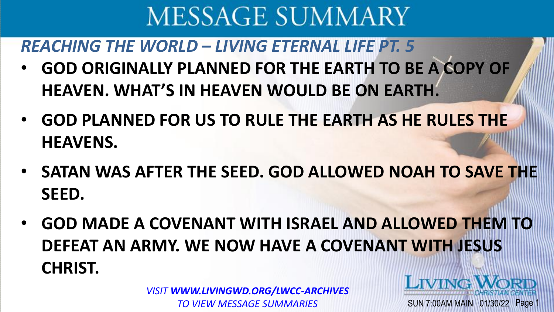*REACHING THE WORLD – LIVING ETERNAL LIFE PT. 5*

- **GOD ORIGINALLY PLANNED FOR THE EARTH TO BE A COPY OF HEAVEN. WHAT'S IN HEAVEN WOULD BE ON EARTH.**
- **GOD PLANNED FOR US TO RULE THE EARTH AS HE RULES THE HEAVENS.**
- **SATAN WAS AFTER THE SEED. GOD ALLOWED NOAH TO SAVE THE SEED.**
- **GOD MADE A COVENANT WITH ISRAEL AND ALLOWED THEM TO DEFEAT AN ARMY. WE NOW HAVE A COVENANT WITH JESUS CHRIST. LIVING**

SUN 7:00AM MAIN 01/30/22 Page

*VISIT WWW.LIVINGWD.ORG/LWCC-ARCHIVES TO VIEW MESSAGE SUMMARIES*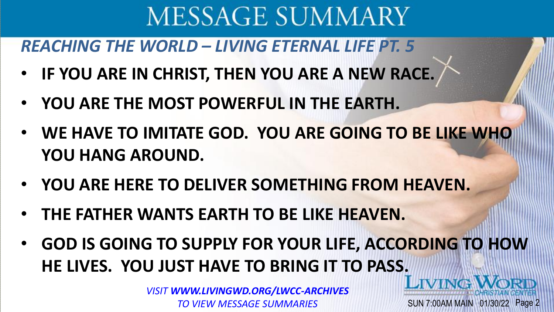*REACHING THE WORLD – LIVING ETERNAL LIFE PT. 5*

- **IF YOU ARE IN CHRIST, THEN YOU ARE A NEW RACE.**
- **YOU ARE THE MOST POWERFUL IN THE EARTH.**
- **WE HAVE TO IMITATE GOD. YOU ARE GOING TO BE LIKE WHO YOU HANG AROUND.**
- **YOU ARE HERE TO DELIVER SOMETHING FROM HEAVEN.**
- **THE FATHER WANTS EARTH TO BE LIKE HEAVEN.**
- **GOD IS GOING TO SUPPLY FOR YOUR LIFE, ACCORDING TO HOW HE LIVES. YOU JUST HAVE TO BRING IT TO PASS.**

SUN 7:00AM MAIN 01/30/22 Page 2

*VISIT WWW.LIVINGWD.ORG/LWCC-ARCHIVES TO VIEW MESSAGE SUMMARIES*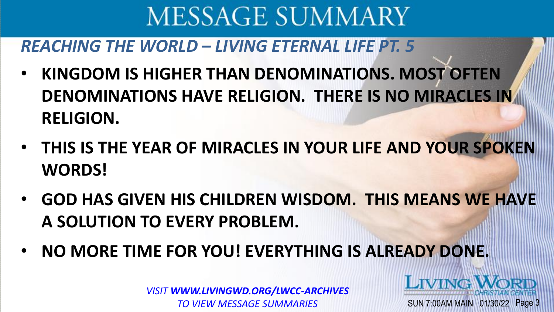### *REACHING THE WORLD – LIVING ETERNAL LIFE PT. 5*

- **KINGDOM IS HIGHER THAN DENOMINATIONS. MOST OFTEN DENOMINATIONS HAVE RELIGION. THERE IS NO MIRACLES IN RELIGION.**
- **THIS IS THE YEAR OF MIRACLES IN YOUR LIFE AND YOUR SPOKEN WORDS!**
- **GOD HAS GIVEN HIS CHILDREN WISDOM. THIS MEANS WE HAVE A SOLUTION TO EVERY PROBLEM.**
- **NO MORE TIME FOR YOU! EVERYTHING IS ALREADY DONE.**

*VISIT WWW.LIVINGWD.ORG/LWCC-ARCHIVES TO VIEW MESSAGE SUMMARIES*